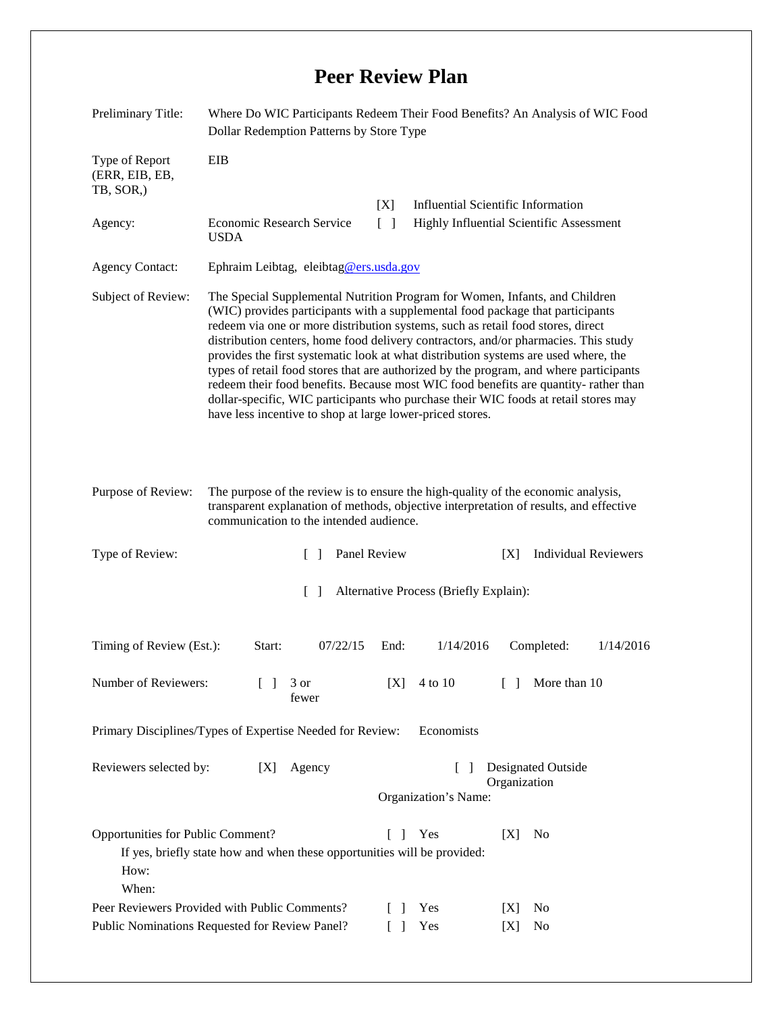## **Peer Review Plan**

| Preliminary Title:                                                                                  | Where Do WIC Participants Redeem Their Food Benefits? An Analysis of WIC Food<br>Dollar Redemption Patterns by Store Type                                                                                                                                                                                                                                                                                                                                                                                                                                                                                                                                                                                                                                           |                                                                          |                                                                                              |                                          |           |              |           |
|-----------------------------------------------------------------------------------------------------|---------------------------------------------------------------------------------------------------------------------------------------------------------------------------------------------------------------------------------------------------------------------------------------------------------------------------------------------------------------------------------------------------------------------------------------------------------------------------------------------------------------------------------------------------------------------------------------------------------------------------------------------------------------------------------------------------------------------------------------------------------------------|--------------------------------------------------------------------------|----------------------------------------------------------------------------------------------|------------------------------------------|-----------|--------------|-----------|
| Type of Report<br>(ERR, EIB, EB,<br>TB, SOR.)                                                       | EIB                                                                                                                                                                                                                                                                                                                                                                                                                                                                                                                                                                                                                                                                                                                                                                 |                                                                          |                                                                                              |                                          |           |              |           |
|                                                                                                     |                                                                                                                                                                                                                                                                                                                                                                                                                                                                                                                                                                                                                                                                                                                                                                     | <b>Influential Scientific Information</b><br>[X]<br>$\lceil$ $\rceil$    |                                                                                              |                                          |           |              |           |
| Agency:                                                                                             | <b>Economic Research Service</b><br><b>USDA</b>                                                                                                                                                                                                                                                                                                                                                                                                                                                                                                                                                                                                                                                                                                                     |                                                                          |                                                                                              | Highly Influential Scientific Assessment |           |              |           |
| <b>Agency Contact:</b>                                                                              | Ephraim Leibtag, eleibtag@ers.usda.gov                                                                                                                                                                                                                                                                                                                                                                                                                                                                                                                                                                                                                                                                                                                              |                                                                          |                                                                                              |                                          |           |              |           |
| Subject of Review:                                                                                  | The Special Supplemental Nutrition Program for Women, Infants, and Children<br>(WIC) provides participants with a supplemental food package that participants<br>redeem via one or more distribution systems, such as retail food stores, direct<br>distribution centers, home food delivery contractors, and/or pharmacies. This study<br>provides the first systematic look at what distribution systems are used where, the<br>types of retail food stores that are authorized by the program, and where participants<br>redeem their food benefits. Because most WIC food benefits are quantity-rather than<br>dollar-specific, WIC participants who purchase their WIC foods at retail stores may<br>have less incentive to shop at large lower-priced stores. |                                                                          |                                                                                              |                                          |           |              |           |
| Purpose of Review:                                                                                  | The purpose of the review is to ensure the high-quality of the economic analysis,<br>transparent explanation of methods, objective interpretation of results, and effective<br>communication to the intended audience.                                                                                                                                                                                                                                                                                                                                                                                                                                                                                                                                              |                                                                          |                                                                                              |                                          |           |              |           |
| Type of Review:                                                                                     | Panel Review<br><b>Individual Reviewers</b><br>$\Box$<br>[X]                                                                                                                                                                                                                                                                                                                                                                                                                                                                                                                                                                                                                                                                                                        |                                                                          |                                                                                              |                                          |           |              |           |
| Alternative Process (Briefly Explain):<br>$\Box$                                                    |                                                                                                                                                                                                                                                                                                                                                                                                                                                                                                                                                                                                                                                                                                                                                                     |                                                                          |                                                                                              |                                          |           |              |           |
| Timing of Review (Est.):                                                                            | Start:                                                                                                                                                                                                                                                                                                                                                                                                                                                                                                                                                                                                                                                                                                                                                              | 07/22/15                                                                 | End:                                                                                         | 1/14/2016                                |           | Completed:   | 1/14/2016 |
| Number of Reviewers:<br>$\Box$                                                                      |                                                                                                                                                                                                                                                                                                                                                                                                                                                                                                                                                                                                                                                                                                                                                                     | 3 or<br>fewer                                                            | [X]                                                                                          | 4 to 10                                  | $\Box$    | More than 10 |           |
| Primary Disciplines/Types of Expertise Needed for Review:<br>Economists                             |                                                                                                                                                                                                                                                                                                                                                                                                                                                                                                                                                                                                                                                                                                                                                                     |                                                                          |                                                                                              |                                          |           |              |           |
| Reviewers selected by:<br>[X]                                                                       |                                                                                                                                                                                                                                                                                                                                                                                                                                                                                                                                                                                                                                                                                                                                                                     | Agency                                                                   | Designated Outside<br>$\mathbf{I}$<br>$\blacksquare$<br>Organization<br>Organization's Name: |                                          |           |              |           |
| Opportunities for Public Comment?<br>How:<br>When:<br>Peer Reviewers Provided with Public Comments? |                                                                                                                                                                                                                                                                                                                                                                                                                                                                                                                                                                                                                                                                                                                                                                     | If yes, briefly state how and when these opportunities will be provided: | $\Box$<br>$\lceil \rceil$                                                                    | Yes<br>Yes                               | [X]<br> X | No<br>No     |           |
| Public Nominations Requested for Review Panel?                                                      |                                                                                                                                                                                                                                                                                                                                                                                                                                                                                                                                                                                                                                                                                                                                                                     |                                                                          |                                                                                              | Yes                                      | [X]       | No           |           |